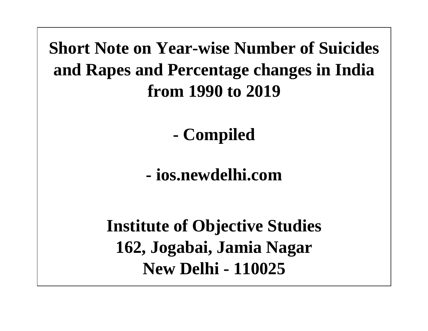**Short Note on Year-wise Number of Suicides and Rapes and Percentage changes in India from 1990 to 2019**

**- Compiled** 

**- ios.newdelhi.com**

**Institute of Objective Studies 162, Jogabai, Jamia Nagar New Delhi - 110025**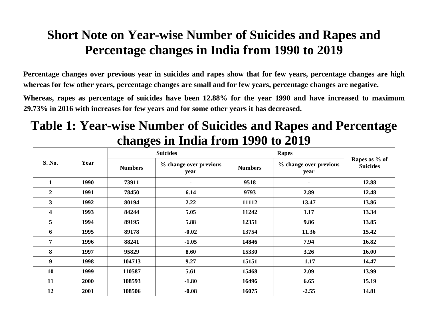## **Short Note on Year-wise Number of Suicides and Rapes and Percentage changes in India from 1990 to 2019**

**Percentage changes over previous year in suicides and rapes show that for few years, percentage changes are high whereas for few other years, percentage changes are small and for few years, percentage changes are negative.**

**Whereas, rapes as percentage of suicides have been 12.88% for the year 1990 and have increased to maximum 29.73% in 2016 with increases for few years and for some other years it has decreased.**

## **Table 1: Year-wise Number of Suicides and Rapes and Percentage changes in India from 1990 to 2019**

| S. No.                  | Year | <b>Suicides</b> |                                | <b>Rapes</b>   |                                |                                  |
|-------------------------|------|-----------------|--------------------------------|----------------|--------------------------------|----------------------------------|
|                         |      | <b>Numbers</b>  | % change over previous<br>year | <b>Numbers</b> | % change over previous<br>year | Rapes as % of<br><b>Suicides</b> |
| $\mathbf{1}$            | 1990 | 73911           | ٠                              | 9518           | ٠.                             | 12.88                            |
| $\overline{2}$          | 1991 | 78450           | 6.14                           | 9793           | 2.89                           | 12.48                            |
| 3                       | 1992 | 80194           | 2.22                           | 11112          | 13.47                          | 13.86                            |
| $\overline{\mathbf{4}}$ | 1993 | 84244           | 5.05                           | 11242          | 1.17                           | 13.34                            |
| 5                       | 1994 | 89195           | 5.88                           | 12351          | 9.86                           | 13.85                            |
| 6                       | 1995 | 89178           | $-0.02$                        | 13754          | 11.36                          | 15.42                            |
| $\overline{7}$          | 1996 | 88241           | $-1.05$                        | 14846          | 7.94                           | 16.82                            |
| 8                       | 1997 | 95829           | 8.60                           | 15330          | 3.26                           | 16.00                            |
| $\boldsymbol{9}$        | 1998 | 104713          | 9.27                           | 15151          | $-1.17$                        | 14.47                            |
| 10                      | 1999 | 110587          | 5.61                           | 15468          | 2.09                           | 13.99                            |
| 11                      | 2000 | 108593          | $-1.80$                        | 16496          | 6.65                           | 15.19                            |
| 12                      | 2001 | 108506          | $-0.08$                        | 16075          | $-2.55$                        | 14.81                            |